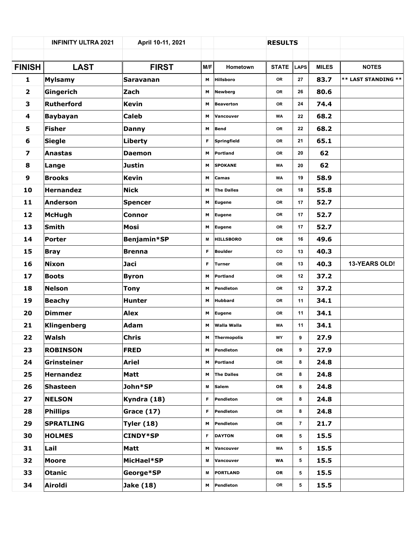|                         | <b>INFINITY ULTRA 2021</b> | April 10-11, 2021 |     |                   | <b>RESULTS</b> |                 |              |                     |
|-------------------------|----------------------------|-------------------|-----|-------------------|----------------|-----------------|--------------|---------------------|
|                         |                            |                   |     |                   |                |                 |              |                     |
| <b>FINISH</b>           | <b>LAST</b>                | <b>FIRST</b>      | M/F | Hometown          | <b>STATE</b>   | <b>LAPS</b>     | <b>MILES</b> | <b>NOTES</b>        |
| 1                       | <b>Mylsamy</b>             | <b>Saravanan</b>  | м   | Hillsboro         | OR             | 27              | 83.7         | ** LAST STANDING ** |
| $\overline{\mathbf{2}}$ | Gingerich                  | Zach              | М   | <b>Newberg</b>    | OR             | 26              | 80.6         |                     |
| 3                       | Rutherford                 | <b>Kevin</b>      | м   | <b>Beaverton</b>  | <b>OR</b>      | 24              | 74.4         |                     |
| 4                       | <b>Baybayan</b>            | <b>Caleb</b>      | м   | Vancouver         | <b>WA</b>      | 22              | 68.2         |                     |
| 5                       | Fisher                     | <b>Danny</b>      | м   | <b>Bend</b>       | <b>OR</b>      | 22              | 68.2         |                     |
| 6                       | Siegle                     | Liberty           | F.  | Springfield       | <b>OR</b>      | 21              | 65.1         |                     |
| $\overline{\mathbf{z}}$ | Anastas                    | <b>Daemon</b>     | м   | Portland          | <b>OR</b>      | 20              | 62           |                     |
| 8                       | Lange                      | Justin            | м   | <b>SPOKANE</b>    | <b>WA</b>      | 20              | 62           |                     |
| 9                       | <b>Brooks</b>              | <b>Kevin</b>      | м   | Camas             | <b>WA</b>      | 19              | 58.9         |                     |
| 10                      | Hernandez                  | <b>Nick</b>       | м   | <b>The Dalles</b> | <b>OR</b>      | 18              | 55.8         |                     |
| $11$                    | Anderson                   | Spencer           | м   | <b>Eugene</b>     | <b>OR</b>      | 17              | 52.7         |                     |
| 12                      | <b>McHugh</b>              | <b>Connor</b>     | М   | <b>Eugene</b>     | <b>OR</b>      | 17              | 52.7         |                     |
| 13                      | Smith                      | Mosi              | м   | <b>Eugene</b>     | <b>OR</b>      | 17              | 52.7         |                     |
| 14                      | Porter                     | Benjamin*SP       | M   | <b>HILLSBORO</b>  | OR             | 16              | 49.6         |                     |
| 15                      | <b>Bray</b>                | <b>Brenna</b>     | F.  | <b>Boulder</b>    | CO             | 13              | 40.3         |                     |
| 16                      | Nixon                      | Jaci              | F.  | Turner            | <b>OR</b>      | 13              | 40.3         | 13-YEARS OLD!       |
| 17                      | <b>Boots</b>               | <b>Byron</b>      | м   | Portland          | OR             | 12              | 37.2         |                     |
| 18                      | Nelson                     | <b>Tony</b>       | м   | Pendleton         | <b>OR</b>      | 12 <sup>2</sup> | 37.2         |                     |
| 19                      | <b>Beachy</b>              | Hunter            | м   | <b>Hubbard</b>    | <b>OR</b>      | 11              | 34.1         |                     |
| 20                      | Dimmer                     | Alex              | М   | <b>Eugene</b>     | <b>OR</b>      | 11              | 34.1         |                     |
| 21                      | Klingenberg                | <b>Adam</b>       | м   | Walla Walla       | <b>WA</b>      | 11              | 34.1         |                     |
| 22                      | Walsh                      | Chris             | м   | Thermopolis       | WY             | 9               | 27.9         |                     |
| 23                      | <b>ROBINSON</b>            | <b>FRED</b>       | м   | Pendleton         | OR             | 9               | 27.9         |                     |
| 24                      | Grinsteiner                | Ariel             | м   | Portland          | OR             | 8               | 24.8         |                     |
| 25                      | Hernandez                  | <b>Matt</b>       | м   | <b>The Dalles</b> | OR             | 8               | 24.8         |                     |
| 26                      | <b>Shasteen</b>            | John*SP           | M   | Salem             | OR             | 8               | 24.8         |                     |
| 27                      | <b>NELSON</b>              | Kyndra (18)       | F   | Pendleton         | OR             | 8               | 24.8         |                     |
| 28                      | Phillips                   | <b>Grace (17)</b> | F.  | Pendleton         | OR             | 8               | 24.8         |                     |
| 29                      | <b>SPRATLING</b>           | <b>Tyler (18)</b> | м   | Pendleton         | OR             | $\overline{7}$  | 21.7         |                     |
| 30                      | <b>HOLMES</b>              | <b>CINDY*SP</b>   | F.  | <b>DAYTON</b>     | OR             | 5               | 15.5         |                     |
| 31                      | Lail                       | Matt              | м   | Vancouver         | WA             | 5               | 15.5         |                     |
| 32                      | Moore                      | MicHael*SP        | м   | Vancouver         | WA             | 5               | 15.5         |                     |
| 33                      | <b>Otanic</b>              | George*SP         | M   | <b>PORTLAND</b>   | OR             | 5               | 15.5         |                     |
| 34                      | Airoldi                    | Jake (18)         | м   | Pendleton         | OR             | 5               | 15.5         |                     |